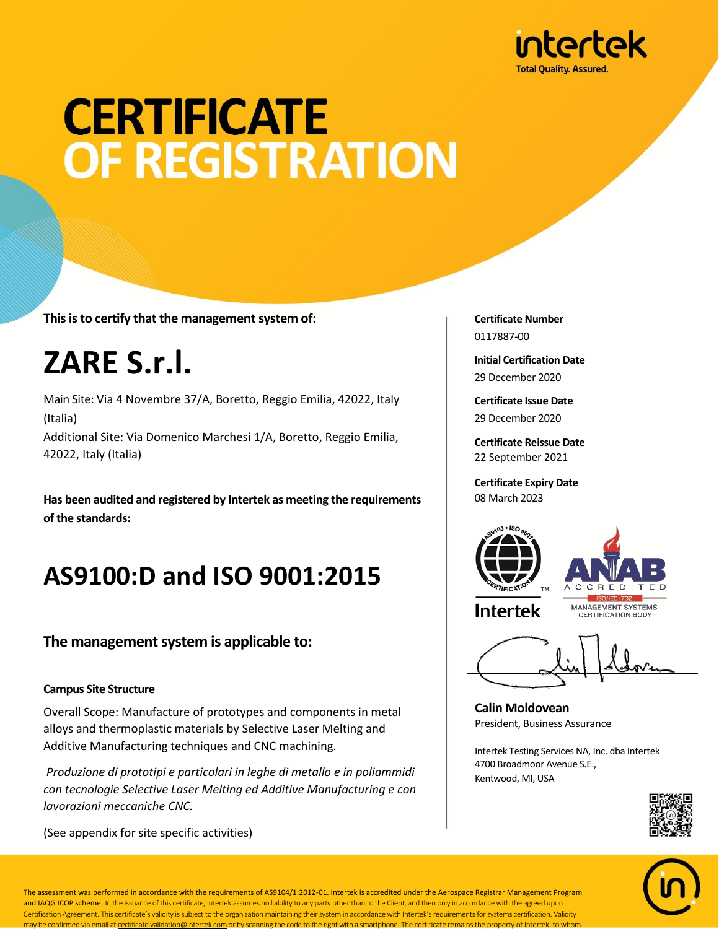

# **CERTIFICATE OF REGISTRATION**

**This is to certify that the management system of:**

## **ZARE S.r.l.**

Main Site: Via 4 Novembre 37/A, Boretto, Reggio Emilia, 42022, Italy (Italia) Additional Site: Via Domenico Marchesi 1/A, Boretto, Reggio Emilia, 42022, Italy (Italia)

**Has been audited and registered by Intertek as meeting the requirements of the standards:**

### **AS9100:D and ISO 9001:2015**

#### **The management system is applicable to:**

#### **Campus Site Structure**

Overall Scope: Manufacture of prototypes and components in metal alloys and thermoplastic materials by Selective Laser Melting and Additive Manufacturing techniques and CNC machining.

*Produzione di prototipi e particolari in leghe di metallo e in poliammidi con tecnologie Selective Laser Melting ed Additive Manufacturing e con lavorazioni meccaniche CNC.*

(See appendix for site specific activities)

**Certificate Number** 0117887-00

**Initial Certification Date** 29 December 2020

**Certificate Issue Date** 29 December 2020

**Certificate Reissue Date** 22 September 2021

**Certificate Expiry Date** 08 March 2023





**Intertek** 

MANAGEMENT SYSTEMS **CERTIFICATION BODY** 

**Calin Moldovean** President, Business Assurance

Intertek Testing Services NA, Inc. dba Intertek 4700 Broadmoor Avenue S.E., Kentwood, MI, USA





The assessment was performed in accordance with the requirements of AS9104/1:2012-01. Intertek is accredited under the Aerospace Registrar Management Program and IAQG ICOP scheme. In the issuance of this certificate, Intertek assumes no liability to any party other than to the Client, and then only in accordance with the agreed upon Certification Agreement. This certificate's validity is subject to the organization maintaining their system in accordance with Intertek's requirements for systems certification. Validity may be confirmed via email at certificate.validation@intertek.com or by scanning the code to the right with a smartphone. The certificate remains the property of Intertek, to whom